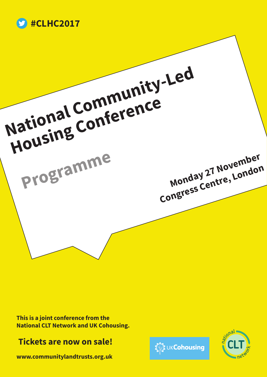



**This is a joint conference from the National CLT Network and UK Cohousing.**

## **Tickets are now on sale!**

**www.communitylandtrusts.org.uk** 



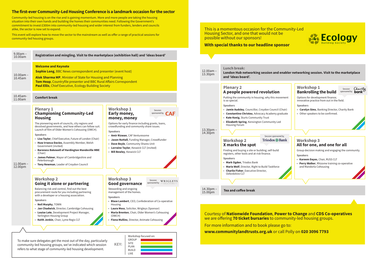## **The first-ever Community-Led Housing Conference is a landmark occasion for the sector**

Community-led housing is on the rise and is gaining momentum. More and more people are taking the housing situation into their own hands and building the homes their communities need. Following the Government's commitment to invest £300m into community-led housing and wider interest from funders, lenders and councils alike, the sector is now set to expand.

This event will explore how to move the sector to the mainstream as well as offer a range of practical sessions for community-led housing groups.

## **London Hub networking session and enabler networking session. Visit to the marketplace**

Housing Sector, and one that would not be possible without our sponsors! **With special thanks to our headline sponsor Lunch break:** 12.00am – 13.30pm **and 'ideas board'. Plenary 2 A people powered revolution** Putting the community in housing; why this movement is so special. **Speakers** • **Jamie Audsley**, Councillor, Croydon Council (Chair) • **Constantino Christou**, Advocacy Academy graduate • **Kate Konig**, Sturts Community Trust • **Elizabeth Spring**, Kensington Community Led Housing Forum 13.30pm – 14.30pm Session sponsored byTriodos @Bank **Workshop 2 X marks the spot** Finding and buying a site or building; self-build registers, other tools and at-risk finance. **Speakers** • **Mark Ogden**, Triodos Bank • **Mario Wolf**, Director, Right to Build Taskforce • **Charlie Fisher**, Executive Director, Oxfordshire CLT 14.30pm – **Tea and coffee break**  $15.00<sub>pm</sub>$ 

| <b>Welcome and Keynote</b><br><b>Sophie Long, BBC News correspondent and presenter (event host)</b><br>$10.00am -$<br>Alok Sharma MP, Minister of State for Housing and Planning<br>10.45am<br>Tom Heap, Countryfile presenter and BBC Rural Affairs Correspondent<br><b>Paul Ellis, Chief Executive, Ecology Building Society</b><br>10.45am-<br><b>Comfort break</b><br>11.00am<br><b>Plenary 1</b><br><b>Championing Community-Led</b><br><b>Housing</b><br>The pioneering work of councils, city regions and                  | <b>Workshop 1</b><br>Session<br>sponsored by <b>CAF</b><br>Early money,<br>money, money<br>Options for early finance including grants, loans,                                                                                                                                                                                                                |
|-----------------------------------------------------------------------------------------------------------------------------------------------------------------------------------------------------------------------------------------------------------------------------------------------------------------------------------------------------------------------------------------------------------------------------------------------------------------------------------------------------------------------------------|--------------------------------------------------------------------------------------------------------------------------------------------------------------------------------------------------------------------------------------------------------------------------------------------------------------------------------------------------------------|
|                                                                                                                                                                                                                                                                                                                                                                                                                                                                                                                                   |                                                                                                                                                                                                                                                                                                                                                              |
|                                                                                                                                                                                                                                                                                                                                                                                                                                                                                                                                   |                                                                                                                                                                                                                                                                                                                                                              |
| devolved governments, and how others can follow suit.<br>Launch of film of Older Women's Cohousing (OWCH).<br><b>Speakers</b><br>• Lisa Taylor, Chief Executive, Future of London (Chair)<br>• Huw Irranca-Davies, Assembly Member, Welsh<br>Government (invited)<br>• Baroness Bakewell of Hardington Mandeville MBE<br>(Chair)<br>• James Palmer, Mayor of Cambridgeshire and<br>Peterborough<br>$11.00am -$<br>• Tony Newman, Leader of Croydon Council<br>12.00pm<br><b>Workshop 2</b><br><b>Going it alone or partnering</b> | crowdfunding and community share issues.<br><b>Speakers</b><br>• Amir Rizwan, CAF Venturesome<br>• Jason Nuttall, Funding Manager, Crowdfunder<br>• Dave Boyle, Community Shares Unit<br>• Lorraine Taylor, Keswick CLT (invited)<br>· Bill Bewley, Keswick CLT<br><b>Workshop 3</b><br>Session<br>WRIGLEYS<br>sponsored by - SOLICITORS-<br>Good governance |
| Balancing risk and control, find out the best<br>procurement route for you including partnering<br>with a developer or a housing association.<br><b>Speakers</b><br>• Neil Murphy, TOWN<br>• Jan Chadwick, Director, Cambridge Cohousing<br>• Louise Lote, Development Project Manager,<br>Yarlington Housing Group<br>• Keith Jenkin, Chair, Lyme Regis CLT                                                                                                                                                                      | Stewarding and ongoing<br>management of the homes.<br><b>Speakers</b><br>• Blase Lambert, CEO, Confederation of Co-operative<br>Housing<br>• Laura Moss, Solicitor, Wrigleys (Sponsor)<br>• Maria Brenton, Chair, Older Women's Cohousing<br>(OWCH)<br>• Fiona Mullins, Director, Animate Cohousing                                                          |
|                                                                                                                                                                                                                                                                                                                                                                                                                                                                                                                                   | Workshop focused on:                                                                                                                                                                                                                                                                                                                                         |





To make sure delegates get the most out of the day, particularly community-led housing groups, we've indicated which session refers to what stage of community-led housing development.

Courtesy of **Nationwide Foundation**, **Power to Change** and **CDS Co-operatives** we are offering **70 ticket bursaries** to community-led housing groups.

For more information and to book please go to: **www.communitylandtrusts.org.uk** or call Polly on **020 3096 7793**